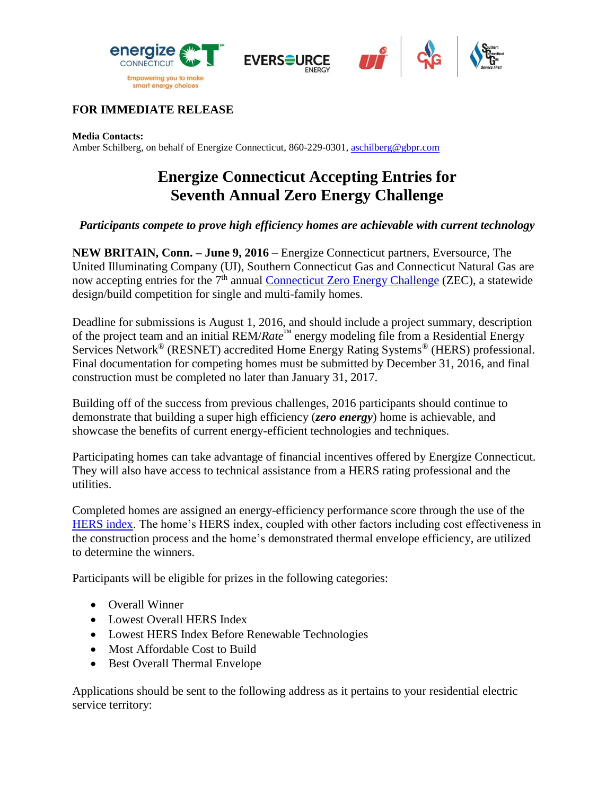







## **FOR IMMEDIATE RELEASE**

#### **Media Contacts:**

Amber Schilberg, on behalf of Energize Connecticut, 860-229-0301, aschilberg@gbpr.com

# **Energize Connecticut Accepting Entries for Seventh Annual Zero Energy Challenge**

### *Participants compete to prove high efficiency homes are achievable with current technology*

**NEW BRITAIN, Conn. – June 9, 2016** – Energize Connecticut partners, Eversource, The United Illuminating Company (UI), Southern Connecticut Gas and Connecticut Natural Gas are now accepting entries for the 7<sup>th</sup> annual [Connecticut Zero Energy Challenge](http://www.ctzeroenergychallenge.com/) (ZEC), a statewide design/build competition for single and multi-family homes.

Deadline for submissions is August 1, 2016, and should include a project summary, description of the project team and an initial REM/*Rate*™ energy modeling file from a Residential Energy Services Network® (RESNET) accredited Home Energy Rating Systems® (HERS) professional. Final documentation for competing homes must be submitted by December 31, 2016, and final construction must be completed no later than January 31, 2017.

Building off of the success from previous challenges, 2016 participants should continue to demonstrate that building a super high efficiency (*zero energy*) home is achievable, and showcase the benefits of current energy-efficient technologies and techniques.

Participating homes can take advantage of financial incentives offered by Energize Connecticut. They will also have access to technical assistance from a HERS rating professional and the utilities.

Completed homes are assigned an energy-efficiency performance score through the use of the [HERS index.](https://www.resnet.us/hers-index) The home's HERS index, coupled with other factors including cost effectiveness in the construction process and the home's demonstrated thermal envelope efficiency, are utilized to determine the winners.

Participants will be eligible for prizes in the following categories:

- Overall Winner
- Lowest Overall HERS Index
- Lowest HERS Index Before Renewable Technologies
- Most Affordable Cost to Build
- Best Overall Thermal Envelope

Applications should be sent to the following address as it pertains to your residential electric service territory: